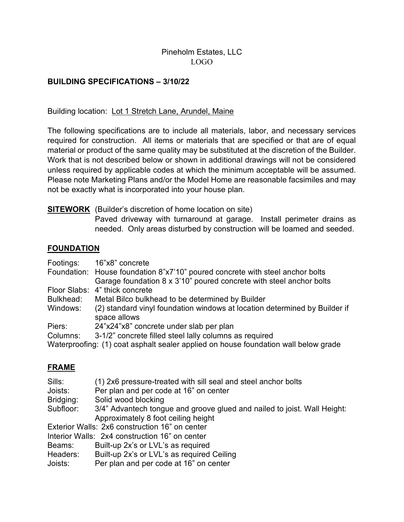### Pineholm Estates, LLC LOGO

### BUILDING SPECIFICATIONS – 3/10/22

Building location: Lot 1 Stretch Lane, Arundel, Maine

The following specifications are to include all materials, labor, and necessary services required for construction. All items or materials that are specified or that are of equal material or product of the same quality may be substituted at the discretion of the Builder. Work that is not described below or shown in additional drawings will not be considered unless required by applicable codes at which the minimum acceptable will be assumed. Please note Marketing Plans and/or the Model Home are reasonable facsimiles and may not be exactly what is incorporated into your house plan.

### **SITEWORK** (Builder's discretion of home location on site)

Paved driveway with turnaround at garage. Install perimeter drains as needed. Only areas disturbed by construction will be loamed and seeded.

### **FOUNDATION**

| Footings:                                                                           | 16"x8" concrete                                                               |  |
|-------------------------------------------------------------------------------------|-------------------------------------------------------------------------------|--|
|                                                                                     | Foundation: House foundation 8"x7'10" poured concrete with steel anchor bolts |  |
|                                                                                     | Garage foundation 8 x 3'10" poured concrete with steel anchor bolts           |  |
|                                                                                     | Floor Slabs: 4" thick concrete                                                |  |
| Bulkhead:                                                                           | Metal Bilco bulkhead to be determined by Builder                              |  |
| Windows:                                                                            | (2) standard vinyl foundation windows at location determined by Builder if    |  |
|                                                                                     | space allows                                                                  |  |
| Piers:                                                                              | 24"x24"x8" concrete under slab per plan                                       |  |
| Columns:                                                                            | 3-1/2" concrete filled steel lally columns as required                        |  |
| Waterproofing: (1) coat asphalt sealer applied on house foundation wall below grade |                                                                               |  |
|                                                                                     |                                                                               |  |

### FRAME

| Sills:<br>(1) 2x6 pressure-treated with sill seal and steel anchor bolts |  |
|--------------------------------------------------------------------------|--|
|--------------------------------------------------------------------------|--|

Joists: Per plan and per code at 16" on center

Bridging: Solid wood blocking

Subfloor: 3/4" Advantech tongue and groove glued and nailed to joist. Wall Height: Approximately 8 foot ceiling height

Exterior Walls: 2x6 construction 16" on center

Interior Walls: 2x4 construction 16" on center

Beams: Built-up 2x's or LVL's as required

Headers: Built-up 2x's or LVL's as required Ceiling

Joists: Per plan and per code at 16" on center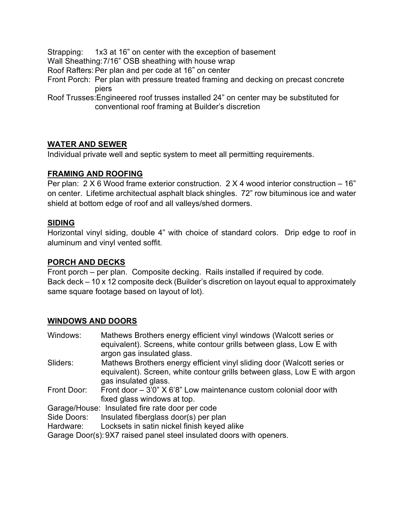Strapping: 1x3 at 16" on center with the exception of basement Wall Sheathing:7/16" OSB sheathing with house wrap Roof Rafters: Per plan and per code at 16" on center Front Porch: Per plan with pressure treated framing and decking on precast concrete piers Roof Trusses:Engineered roof trusses installed 24" on center may be substituted for conventional roof framing at Builder's discretion

### WATER AND SEWER

Individual private well and septic system to meet all permitting requirements.

### FRAMING AND ROOFING

Per plan: 2 X 6 Wood frame exterior construction. 2 X 4 wood interior construction – 16" on center. Lifetime architectual asphalt black shingles. 72" row bituminous ice and water shield at bottom edge of roof and all valleys/shed dormers.

#### SIDING

Horizontal vinyl siding, double 4" with choice of standard colors. Drip edge to roof in aluminum and vinyl vented soffit.

#### PORCH AND DECKS

Front porch – per plan. Composite decking. Rails installed if required by code. Back deck – 10 x 12 composite deck (Builder's discretion on layout equal to approximately same square footage based on layout of lot).

### WINDOWS AND DOORS

| Windows:    | Mathews Brothers energy efficient vinyl windows (Walcott series or        |
|-------------|---------------------------------------------------------------------------|
|             | equivalent). Screens, white contour grills between glass, Low E with      |
|             | argon gas insulated glass.                                                |
| Sliders:    | Mathews Brothers energy efficient vinyl sliding door (Walcott series or   |
|             | equivalent). Screen, white contour grills between glass, Low E with argon |
|             | gas insulated glass.                                                      |
| Front Door: | Front door $-3'0''$ X 6'8" Low maintenance custom colonial door with      |
|             | fixed glass windows at top.                                               |
|             | Garage/House: Insulated fire rate door per code                           |
| Side Doors: | Insulated fiberglass door(s) per plan                                     |
| Hardware:   | Locksets in satin nickel finish keyed alike                               |
|             | Garage Door(s): 9X7 raised panel steel insulated doors with openers       |

Garage Door(s): 9X7 raised panel steel insulated doors with openers.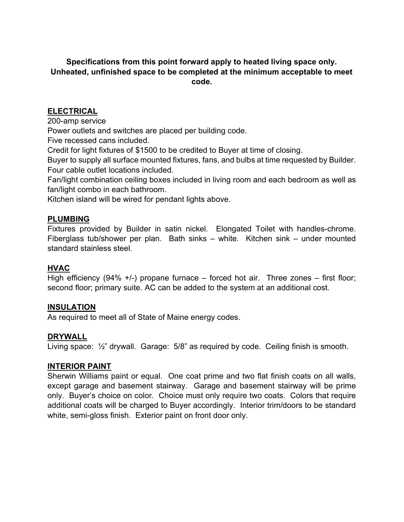# Specifications from this point forward apply to heated living space only. Unheated, unfinished space to be completed at the minimum acceptable to meet code.

# ELECTRICAL

200-amp service

Power outlets and switches are placed per building code.

Five recessed cans included.

Credit for light fixtures of \$1500 to be credited to Buyer at time of closing.

Buyer to supply all surface mounted fixtures, fans, and bulbs at time requested by Builder. Four cable outlet locations included.

Fan/light combination ceiling boxes included in living room and each bedroom as well as fan/light combo in each bathroom.

Kitchen island will be wired for pendant lights above.

# PLUMBING

Fixtures provided by Builder in satin nickel. Elongated Toilet with handles-chrome. Fiberglass tub/shower per plan. Bath sinks – white. Kitchen sink – under mounted standard stainless steel.

# HVAC

High efficiency (94% +/-) propane furnace – forced hot air. Three zones – first floor; second floor; primary suite. AC can be added to the system at an additional cost.

# INSULATION

As required to meet all of State of Maine energy codes.

# **DRYWALL**

Living space: ½" drywall. Garage: 5/8" as required by code. Ceiling finish is smooth.

### INTERIOR PAINT

Sherwin Williams paint or equal. One coat prime and two flat finish coats on all walls, except garage and basement stairway. Garage and basement stairway will be prime only. Buyer's choice on color. Choice must only require two coats. Colors that require additional coats will be charged to Buyer accordingly. Interior trim/doors to be standard white, semi-gloss finish. Exterior paint on front door only.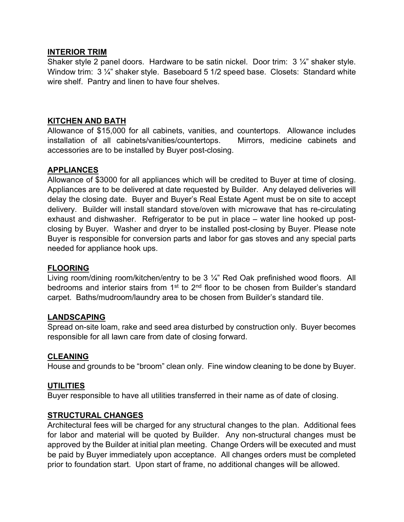### INTERIOR TRIM

Shaker style 2 panel doors. Hardware to be satin nickel. Door trim: 3 ¼" shaker style. Window trim: 3 1/4" shaker style. Baseboard 5 1/2 speed base. Closets: Standard white wire shelf. Pantry and linen to have four shelves.

# KITCHEN AND BATH

Allowance of \$15,000 for all cabinets, vanities, and countertops. Allowance includes installation of all cabinets/vanities/countertops. Mirrors, medicine cabinets and accessories are to be installed by Buyer post-closing.

# APPLIANCES

Allowance of \$3000 for all appliances which will be credited to Buyer at time of closing. Appliances are to be delivered at date requested by Builder. Any delayed deliveries will delay the closing date. Buyer and Buyer's Real Estate Agent must be on site to accept delivery. Builder will install standard stove/oven with microwave that has re-circulating exhaust and dishwasher. Refrigerator to be put in place – water line hooked up postclosing by Buyer. Washer and dryer to be installed post-closing by Buyer. Please note Buyer is responsible for conversion parts and labor for gas stoves and any special parts needed for appliance hook ups.

### FLOORING

Living room/dining room/kitchen/entry to be 3 1/4" Red Oak prefinished wood floors. All bedrooms and interior stairs from  $1<sup>st</sup>$  to  $2<sup>nd</sup>$  floor to be chosen from Builder's standard carpet. Baths/mudroom/laundry area to be chosen from Builder's standard tile.

### LANDSCAPING

Spread on-site loam, rake and seed area disturbed by construction only. Buyer becomes responsible for all lawn care from date of closing forward.

### CLEANING

House and grounds to be "broom" clean only. Fine window cleaning to be done by Buyer.

### **UTILITIES**

Buyer responsible to have all utilities transferred in their name as of date of closing.

### STRUCTURAL CHANGES

Architectural fees will be charged for any structural changes to the plan. Additional fees for labor and material will be quoted by Builder. Any non-structural changes must be approved by the Builder at initial plan meeting. Change Orders will be executed and must be paid by Buyer immediately upon acceptance. All changes orders must be completed prior to foundation start. Upon start of frame, no additional changes will be allowed.